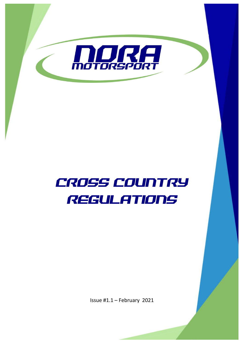

# Cross COUNTRY REGULATIONS

Issue #1.1 – February 2021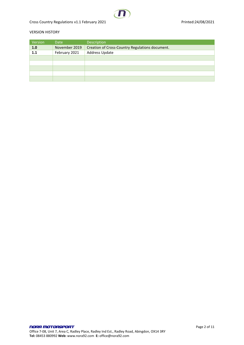Cross Country Regulations v1.1 February 2021 **Printed:24/08/2021** Printed:24/08/2021

#### VERSION HISTORY

| Version | Date          | Description                                     |
|---------|---------------|-------------------------------------------------|
| 1.0     | November 2019 | Creation of Cross-Country Regulations document. |
| 1.1     | February 2021 | Address Update                                  |
|         |               |                                                 |
|         |               |                                                 |
|         |               |                                                 |
|         |               |                                                 |
|         |               |                                                 |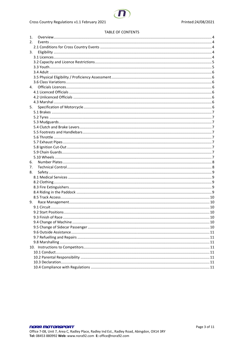#### **TABLE OF CONTENTS**

| 1. |    |  |
|----|----|--|
| 2. |    |  |
|    |    |  |
| 3. |    |  |
|    |    |  |
|    |    |  |
|    |    |  |
|    |    |  |
|    |    |  |
|    |    |  |
| 4. |    |  |
|    |    |  |
|    |    |  |
|    |    |  |
| 5. |    |  |
|    |    |  |
|    |    |  |
|    |    |  |
|    |    |  |
|    |    |  |
|    |    |  |
|    |    |  |
|    |    |  |
|    |    |  |
|    |    |  |
| 6. |    |  |
| 7. |    |  |
| 8. |    |  |
|    |    |  |
|    |    |  |
|    |    |  |
|    |    |  |
|    |    |  |
|    | 9. |  |
|    |    |  |
|    |    |  |
|    |    |  |
|    |    |  |
|    |    |  |
|    |    |  |
|    |    |  |
|    |    |  |
|    |    |  |
|    |    |  |
|    |    |  |
|    |    |  |
|    |    |  |
|    |    |  |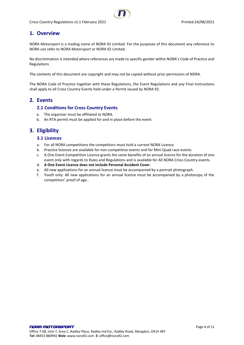# <span id="page-3-0"></span>**1. Overview**

NORA Motorsport is a trading name of NORA 92 Limited. For the purposes of this document any reference to NORA can refer to NORA Motorsport or NORA 92 Limited.

No discrimination is intended where references are made to specific gender within NORA's Code of Practice and Regulations

The contents of this document are copyright and may not be copied without prior permission of NORA.

The NORA Code of Practice together with these Regulations, the Event Regulations and any Final Instructions shall apply to all Cross Country Events held under a Permit issued by NORA 92.

## <span id="page-3-2"></span><span id="page-3-1"></span>**2. Events**

#### **2.1 Conditions for Cross Country Events**

- a. The organiser must be affiliated to NORA.
- b. An RTA permit must be applied for and in place before the event.

# <span id="page-3-4"></span><span id="page-3-3"></span>**3. Eligibility**

#### **3.1 Licences**

- a. For all NORA competitions the competitors must hold a current NORA Licence.
- b. Practice licences are available for non-competitive events and for Mini Quad race events.
- c. A One Event Competition Licence grants the same benefits of an annual licence for the duration of one event only with regards to Rules and Regulations and is available for All NORA Cross Country events.
- d. **A One Event Licence does not include Personal Accident Cover**.
- e. All new applications for an annual licence must be accompanied by a portrait photograph.
- f. Youth only: All new applications for an annual licence must be accompanied by a photocopy of the competitors' proof of age..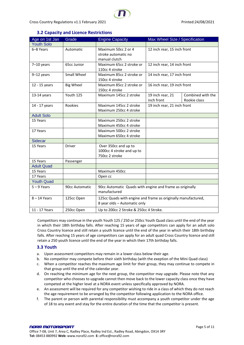## Cross Country Regulations v1.1 February 2021 Cross Country Regulations v1.1 February 2021

## **3.2 Capacity and Licence Restrictions**

<span id="page-4-0"></span>

| Age on 1st Jan    | Grade            | <b>Engine Capacity</b>                                        | Max Wheel Size / Specification |                   |
|-------------------|------------------|---------------------------------------------------------------|--------------------------------|-------------------|
| <b>Youth Solo</b> |                  |                                                               |                                |                   |
| 6-8 Years         | Automatic        | Maximum 50cc 2 or 4                                           | 12 inch rear, 15 inch front    |                   |
|                   |                  | stroke automatic no                                           |                                |                   |
|                   |                  | manual clutch                                                 |                                |                   |
| $7-10$ years      | 65cc Junior      | Maximum 65cc 2 stroke or                                      | 12 inch rear, 14 inch front    |                   |
|                   |                  | 110cc 4 stroke                                                |                                |                   |
| $9-12$ years      | Small Wheel      | Maximum 85cc 2 stroke or                                      | 14 inch rear, 17 inch front    |                   |
|                   |                  | 150cc 4 stroke                                                |                                |                   |
| 12 - 15 years     | <b>Big Wheel</b> | Maximum 85cc 2 stroke or                                      | 16 inch rear, 19 inch front    |                   |
|                   |                  | 150cc 4 stroke                                                |                                |                   |
| 13-14 years       | Youth 125        | Maximum 145cc 2 stroke                                        | 19 inch rear, 21               | Combined with the |
|                   |                  |                                                               | inch front                     | Rookie class      |
| 14 - 17 years     | Rookies          | Maximum 145cc 2 stroke                                        | 19 inch rear, 21 inch front    |                   |
|                   |                  | Maximum 250cc 4 stroke                                        |                                |                   |
| <b>Adult Solo</b> |                  |                                                               |                                |                   |
| 15 Years          |                  | Maximum 250cc 2 stroke                                        |                                |                   |
|                   |                  | Maximum 450cc 4 stroke                                        |                                |                   |
| 17 Years          |                  | Maximum 500cc 2 stroke                                        |                                |                   |
|                   |                  | Maximum 650cc 4 stroke                                        |                                |                   |
| <b>Sidecar</b>    |                  |                                                               |                                |                   |
| 15 Years          | Driver           | Over 350cc and up to                                          |                                |                   |
|                   |                  | 1000cc 4 stroke and up to                                     |                                |                   |
|                   |                  | 750cc 2 stroke                                                |                                |                   |
| 15 Years          | Passenger        |                                                               |                                |                   |
| <b>Adult Quad</b> |                  |                                                               |                                |                   |
| 15 Years          |                  | Maximum 450cc                                                 |                                |                   |
| 17 Years          |                  | Open cc                                                       |                                |                   |
| <b>Youth Quad</b> |                  |                                                               |                                |                   |
| $5 - 9$ Years     | 90cc Automatic   | 90cc Automatic Quads with engine and frame as originally      |                                |                   |
|                   |                  | manufactured                                                  |                                |                   |
| $8 - 14$ Years    | 125cc Open       | 125cc Quads with engine and frame as originally manufactured, |                                |                   |
|                   |                  | 8 year olds - Automatic only                                  |                                |                   |
| 11 - 17 Years     | 250cc Open       | Up to 200cc 2 Stroke & 250cc 4 Stroke.                        |                                |                   |
|                   |                  |                                                               |                                |                   |

Competitors may continue in the youth Youth 125 / 250 or 250cc Youth Quad class until the end of the year in which their 18th birthday falls. After reaching 15 years of age competitors can apply for an adult solo Cross Country licence and still retain a youth licence until the end of the year in which their 18th birthday falls. After reaching 15 years of age competitors can apply for an adult quad Cross Country licence and still retain a 250 youth licence until the end of the year in which their 17th birthday falls.

## <span id="page-4-1"></span>**3.3 Youth**

- a. Upon assessment competitors may remain in a lower class below their age.
- b. No competitor may compete before their sixth birthday (with the exeption of the Mini Quad class)
- c. When a competitor reaches the maximum age limit for their group, they may continue to compete in that group until the end of the calendar year.
- d. On reaching the minimum age for the next group, the competitor may upgrade. Please note that any competitor who chooses to upgrade cannot then move back to the lower capacity class once they have competed at the higher level at a NORA event unless specifically approved by NORA.
- e. An assessment will be required for any competitor wishing to ride in a class of which they do not reach the age requirement to be arranged by the competitor following application to the NORA office.
- f. The parent or person with parental responsibility must accompany a youth competitor under the age of 18 to any event and stay for the entire duration of the time that the competitor is present.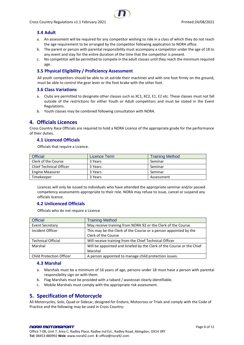## <span id="page-5-0"></span>**3.4 Adult**

- a. An assessment will be required for any competitor wishing to ride in a class of which they do not reach the age requirement to be arranged by the competitor following application to NORA office.
- b. The parent or person with parental responsibility must accompany a competitor under the age of 18 to any event and stay for the entire duration of the time that the competitor is present.
- c. No competitor will be permitted to compete in the adult classes until they reach the minimum required age.

## <span id="page-5-1"></span>**3.5 Physical Eligibility / Proficiency Assessment**

All youth competitors should be able to sit astride their machines and with one foot firmly on the ground, must be able to control the gear lever or the foot brake with the other foot.

#### <span id="page-5-2"></span>**3.6 Class Variations**

- a. Clubs are permitted to designate other classes such as XC1, XC2, E1, E2 etc. These classes must not fall outside of the restrictions for either Youth or Adult competitors and must be stated in the Event Regulations.
- b. Youth classes may be combined following consultation with NORA.

## <span id="page-5-3"></span>**4. Officials Licences**

Cross Country Race Officials are required to hold a NORA Licence of the appropriate grade for the performance of their duties.

#### <span id="page-5-4"></span>**4.1 Licenced Officials**

Officials that require a Licence.

| <b>Official</b>                | Licence Term | <b>Training Method</b> |
|--------------------------------|--------------|------------------------|
| Clerk of the Course            | 3 Years      | Seminar                |
| <b>Chief Technical Officer</b> | 3 Years      | Seminar                |
| <b>Engine Measurer</b>         | 3 Years      | Seminar                |
| Timekeeper                     | 3 Years      | Assessment             |

Licences will only be issued to individuals who have attended the appropriate seminar and/or passed competency assessments appropriate to their role. NORA may refuse to issue, cancel or suspend any officials licence.

## <span id="page-5-5"></span>**4.2 Unlicenced Officials**

Officials who do not require a Licence

| <b>Official</b>                 | <b>Training Method</b>                                                |
|---------------------------------|-----------------------------------------------------------------------|
| <b>Event Secretary</b>          | May receive training from NORA 92 or the Clerk of the Course          |
| Incident Officer                | This may be the Clerk of the Course or a person appointed by the      |
|                                 | Clerk of the Course                                                   |
| <b>Technical Official</b>       | Will receive training from the Chief Technical Officer                |
| Marshal                         | Will be appointed and briefed by the Clerk of the Course or the Chief |
|                                 | Marshal                                                               |
| <b>Child Protection Officer</b> | A person appointed to manage child protection issues.                 |

#### <span id="page-5-6"></span>**4.3 Marshal**

- a. Marshals must be a minimum of 16 years of age, persons under 18 must have a person with parental responsibility sign on with them.
- b. Flag Marshals must be provided with a tabard / waistcoat clearly identifiable.
- c. Mobile Marshals must comply with the appropriate risk assessment.

## <span id="page-5-7"></span>**5. Specification of Motorcycle**

All Motorcycles, Solo, Quad or Sidecar, designed for Enduro, Motocross or Trials and comply with the Code of Practice and the following may be used in Cross Country:

#### NORA MOTORSPORT Office 7-08, Unit 7, Area C, Radley Place, Radley Ind Est., Radley Road, Abingdon, OX14 3RY **Tel:** 08453 880992 **Web:** www.nora92.com **E:** office@nora92.com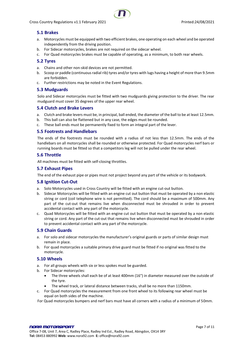

## <span id="page-6-0"></span>**5.1 Brakes**

- a. Motorcycles must be equipped with two efficient brakes, one operating on each wheel and be operated independently from the driving position.
- b. For Sidecar motorcycles, brakes are not required on the sidecar wheel.
- c. For Quad motorcycles brakes must be capable of operating, as a minimum, to both rear wheels.

#### <span id="page-6-1"></span>**5.2 Tyres**

- a. Chains and other non-skid devices are not permitted.
- b. Scoop or paddle (continuous radial rib) tyres and/or tyres with lugs having a height of more than 9.5mm are forbidden.
- c. Further restrictions may be noted in the Event Regulations.

#### <span id="page-6-2"></span>**5.3 Mudguards**

Solo and Sidecar motorcycles must be fitted with two mudguards giving protection to the driver. The rear mudguard must cover 35 degrees of the upper rear wheel.

#### <span id="page-6-3"></span>**5.4 Clutch and Brake Levers**

- a. Clutch and brake levers must be, in principal, ball ended, the diameter of the ball to be at least 12.5mm.
- b. This ball can also be flattened but in any case, the edges must be rounded.
- c. These ball ends must be permanently fixed to form an integral part of the lever.

#### <span id="page-6-4"></span>**5.5 Footrests and Handlebars**

The ends of the footrests must be rounded with a radius of not less than 12.5mm. The ends of the handlebars on all motorcycles shall be rounded or otherwise protected. For Quad motorcycles nerf bars or running boards must be fitted so that a competitors leg will not be pulled under the rear wheel.

#### <span id="page-6-5"></span>**5.6 Throttle**

All machines must be fitted with self-closing throttles.

#### <span id="page-6-6"></span>**5.7 Exhaust Pipes**

The end of the exhaust pipe or pipes must not project beyond any part of the vehicle or its bodywork.

#### <span id="page-6-7"></span>**5.8 Ignition Cut-Out**

- a. Solo Motorcycles used in Cross Country will be fitted with an engine cut-out button.
- b. Sidecar Motorcycles will be fitted with an engine cut out button that must be operated by a non elastic string or cord (coil telephone wire is not permitted). The cord should be a maximum of 500mm. Any part of the cut-out that remains live when disconnected must be shrouded in order to prevent accidental contact with any part of the motorcycle.
- c. Quad Motorcycles will be fitted with an engine cut out button that must be operated by a non elastic string or cord. Any part of the cut-out that remains live when disconnected must be shrouded in order to prevent accidental contact with any part of the motorcycle.

#### <span id="page-6-8"></span>**5.9 Chain Guards**

- a. For solo and sidecar motorcycles the manufacturer's original guards or parts of similar design must remain in place.
- b. For quad motorcycles a suitable primary drive guard must be fitted if no original was fitted to the motorcycle.

#### <span id="page-6-9"></span>**5.10 Wheels**

- a. For all groups wheels with six or less spokes must be guarded.
- b. For Sidecar motorcycles:
	- The three wheels shall each be of at least 400mm (16") in diameter measured over the outside of the tyre.
	- The wheel track, or lateral distance between tracks, shall be no more than 1150mm.
- c. For Quad motorcycles the measurement from one front wheel to its following rear wheel must be equal on both sides of the machine.
- For Quad motorcycles bumpers and nerf bars must have all corners with a radius of a minimum of 50mm.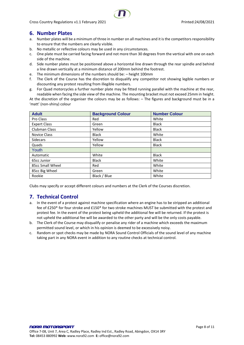# <span id="page-7-0"></span>**6. Number Plates**

- a. Number plates will be a minimum of three in number on all machines and it is the competitors responsibility to ensure that the numbers are clearly visible.
- b. No metallic or reflective colours may be used in any circumstances.
- c. One plate must be carried facing forward and not more than 30 degrees from the vertical with one on each side of the machine.
- d. Side number plates must be positioned above a horizontal line drawn through the rear spindle and behind a line drawn vertically at a minimum distance of 200mm behind the footrest.
- e. The minimum dimensions of the numbers should be: height 100mm
- f. The Clerk of the Course has the discretion to disqualify any competitor not showing legible numbers or discounting any protest resulting from illegible numbers.
- g. For Quad motorcycles a further number plate may be fitted running parallel with the machine at the rear, readable when facing the side view of the machine. The mounting bracket must not exceed 25mm in height.

At the discretion of the organiser the colours may be as follows: – The figures and background must be in a 'matt' (non-shiny) colour

| <b>Adult</b>         | <b>Background Colour</b> | <b>Number Colour</b> |
|----------------------|--------------------------|----------------------|
| Pro Class            | Red                      | White                |
| <b>Expert Class</b>  | Green                    | <b>Black</b>         |
| <b>Clubman Class</b> | Yellow                   | <b>Black</b>         |
| Novice Class         | <b>Black</b>             | White                |
| Sidecars             | Yellow                   | <b>Black</b>         |
| Quads                | Yellow                   | <b>Black</b>         |
| Youth                |                          |                      |
| Automatic            | White                    | <b>Black</b>         |
| 65cc Junior          | <b>Black</b>             | White                |
| 85cc Small Wheel     | Red                      | White                |
| 85cc Big Wheel       | Green                    | White                |
| Rookie               | Black / Blue             | White                |

<span id="page-7-1"></span>Clubs may specify or accept different colours and numbers at the Clerk of the Courses discretion.

# **7. Technical Control**

- a. In the event of a protest against machine specification where an engine has to be stripped an additional fee of £250\* for four stroke and £150\* for two stroke machines MUST be submitted with the protest and protest fee. In the event of the protest being upheld the additional fee will be returned. If the protest is not upheld the additional fee will be awarded to the other party and will be the only costs payable.
- b. The Clerk of the Course may disqualify or penalise any rider of a machine which exceeds the maximum permitted sound level, or which in his opinion is deemed to be excessively noisy.
- c. Random or spot checks may be made by NORA Sound Control Officials of the sound level of any machine taking part in any NORA event in addition to any routine checks at technical control.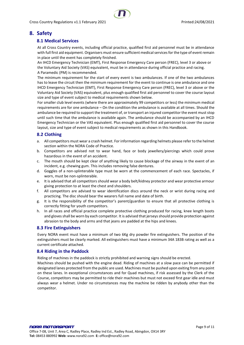## <span id="page-8-1"></span><span id="page-8-0"></span>**8. Safety**

## **8.1 Medical Services**

At all Cross Country events, including official practice, qualified first aid personnel must be in attendance with full first aid equipment. Organisers must ensure sufficient medical services for the type of event remain in place until the event has completely finished.

An IHCD Emergency Technician (EMT), First Response Emergency Care person (FREC), level 3 or above or the Voluntary Aid Society (VAS) equivalent, must be in attendance during official practice and racing. A Paramedic (PM) is recommended.

The minimum requirement for the start of every event is two ambulances. If one of the two ambulances has to leave the circuit then the minimum requirement for the event to continue is one ambulance and one IHCD Emergency Technician (EMT), First Response Emergency Care person (FREC), level 3 or above or the Voluntary Aid Society (VAS) equivalent, plus enough qualified first aid personnel to cover the course layout size and type of event subject to medical requirements shown below.

For smaller club level events (where there are approximately 99 competitors or less) the minimum medical requirements are for one ambulance – On the condition the ambulance is available at all times. Should the ambulance be required to support the treatment of, or transport an injured competitor the event must stop until such time that the ambulance is available again. The ambulance should be accompanied by an IHCD Emergency Technician or the VAS equivalent. Plus enough qualified first aid personnel to cover the course layout, size and type of event subject to medical requirements as shown in this Handbook.

#### <span id="page-8-2"></span>**8.2 Clothing**

- a. All competitors must wear a crash helmet. For information regarding helmets please refer to the helmet section within the NORA Code of Practice.
- b. Competitors are advised not to wear hand, face or body jewellery/piercings which could prove hazardous in the event of an accident.
- c. The mouth should be kept clear of anything likely to cause blockage of the airway in the event of an incident, e.g. chewing gum. This includes removing false dentures.
- d. Goggles of a non-splinterable type must be worn at the commencement of each race. Spectacles, if worn, must be non-splinterable.
- e. It is advised that all competitors should wear a body belt/kidney protector and wear protective armour giving protection to at least the chest and shoulders.
- f. All competitors are advised to wear identification discs around the neck or wrist during racing and practicing. The disc should bear the wearers full name and date of birth.
- g. It is the responsibility of the competitor's parent/guardian to ensure that all protective clothing is correctly fitting for youth competitors.
- h. In all races and official practice complete protective clothing produced for racing, knee length boots and gloves shall be worn by each competitor. It is advised that jerseys should provide protection against abrasion to the body and arms and that jeans are padded at the hips and knees.

## <span id="page-8-3"></span>**8.3 Fire Extinguishers**

Every NORA event must have a minimum of two 6Kg dry powder fire extinguishers. The position of the extinguishers must be clearly marked. All extinguishers must have a minimum 34A 183B rating as well as a current certificate attached.

#### <span id="page-8-4"></span>**8.4 Riding in the Paddock**

Riding of machines in the paddock is strictly prohibited and warning signs should be erected.

Machines should be pushed with the engine dead. Riding of machines at a slow pace can be permitted if designated lanes protected from the public are used. Machines must be pushed upon exiting from any point on these lanes. In exceptional circumstances and for Quad machines, if risk assessed by the Clerk of the Course, competitors may be permitted to ride their machines but must not exceed first gear idle and must always wear a helmet. Under no circumstances may the machine be ridden by anybody other than the competitor.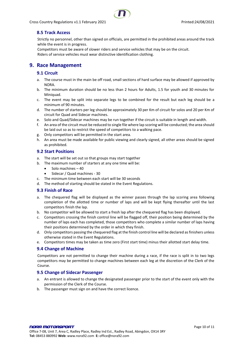<span id="page-9-0"></span>

Strictly no personnel, other than signed on officials, are permitted in the prohibited areas around the track while the event is in progress.

Competitors must be aware of slower riders and service vehicles that may be on the circuit. Riders of service vehicles must wear distinctive identification clothing.

# <span id="page-9-2"></span><span id="page-9-1"></span>**9. Race Management**

## **9.1 Circuit**

- a. The course must in the main be off road, small sections of hard surface may be allowed if approved by NORA.
- b. The minimum duration should be no less than 2 hours for Adults, 1.5 for youth and 30 minutes for Miniquad.
- c. The event may be split into separate legs to be combined for the result but each leg should be a minimum of 90 minutes.
- d. The number of starters per leg should be approximately 30 per Km of circuit for solos and 20 per Km of circuit for Quad and Sidecar machines.
- e. Solo and Quad/Sidecar machines may be run together if the circuit is suitable in length and width.
- f. An area of the circuit must be reduced to single file where lap scoring will be conducted; the area should be laid out so as to restrict the speed of competitors to a walking pace.
- g. Only competitors will be permitted in the start area.
- h. An area must be made available for public viewing and clearly signed, all other areas should be signed as prohibited.

#### <span id="page-9-3"></span>**9.2 Start Positions**

- a. The start will be set out so that groups may start together
- b. The maximum number of starters at any one time will be:
	- Solo machines 40
	- Sidecar / Quad machines 30
- c. The minimum time between each start will be 30 seconds
- d. The method of starting should be stated in the Event Regulations.

## <span id="page-9-4"></span>**9.3 Finish of Race**

- a. The chequered flag will be displayed as the winner passes through the lap scoring area following completion of the allotted time or number of laps and will be kept flying thereafter until the last competitors finish the lap.
- b. No competitor will be allowed to start a fresh lap after the chequered flag has been displayed.
- c. Competitors crossing the finish control line will be flagged off, their position being determined by the number of laps each has completed, those competitors who complete a similar number of laps having their positions determined by the order in which they finish.
- d. Only competitors passing the chequered flag at the finish control line will be declared as finishers unless otherwise stated in the Event Regulations.
- e. Competitors times may be taken as time zero (First start time) minus their allotted start delay time.

## <span id="page-9-5"></span>**9.4 Change of Machine**

Competitors are not permitted to change their machine during a race, if the race is split in to two legs competitors may be permitted to change machines between each leg at the discretion of the Clerk of the Course.

## <span id="page-9-6"></span>**9.5 Change of Sidecar Passenger**

- a. An entrant is allowed to change the designated passenger prior to the start of the event only with the permission of the Clerk of the Course.
- b. The passenger must sign on and have the correct licence.